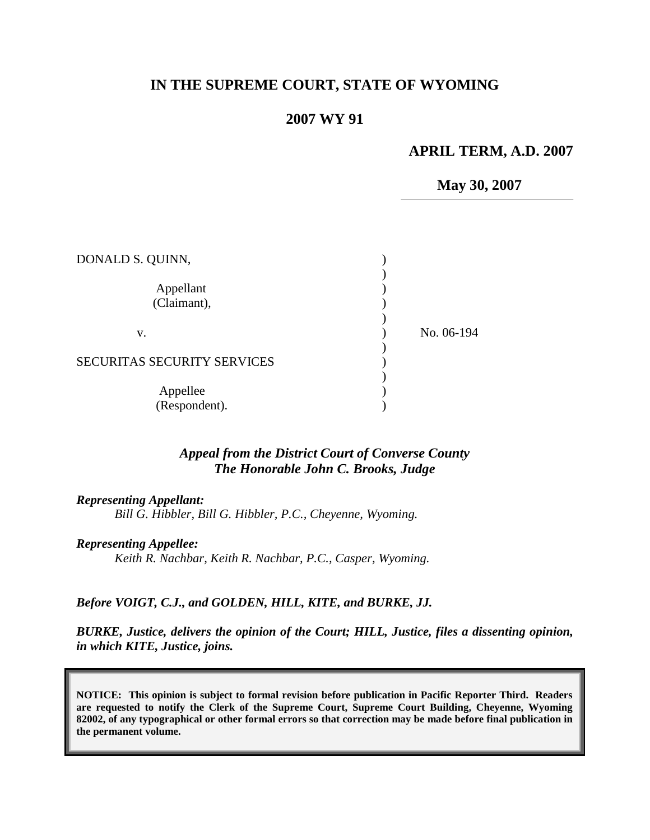## **IN THE SUPREME COURT, STATE OF WYOMING**

## **2007 WY 91**

#### **APRIL TERM, A.D. 2007**

**May 30, 2007**

| DONALD S. QUINN,                   |            |
|------------------------------------|------------|
| Appellant<br>(Claimant),           |            |
| V.                                 | No. 06-194 |
| <b>SECURITAS SECURITY SERVICES</b> |            |
| Appellee<br>(Respondent).          |            |

#### *Appeal from the District Court of Converse County The Honorable John C. Brooks, Judge*

#### *Representing Appellant:*

*Bill G. Hibbler, Bill G. Hibbler, P.C., Cheyenne, Wyoming.*

*Representing Appellee:*

*Keith R. Nachbar, Keith R. Nachbar, P.C., Casper, Wyoming.*

#### *Before VOIGT, C.J., and GOLDEN, HILL, KITE, and BURKE, JJ.*

*BURKE, Justice, delivers the opinion of the Court; HILL, Justice, files a dissenting opinion, in which KITE, Justice, joins.*

**NOTICE: This opinion is subject to formal revision before publication in Pacific Reporter Third. Readers are requested to notify the Clerk of the Supreme Court, Supreme Court Building, Cheyenne, Wyoming 82002, of any typographical or other formal errors so that correction may be made before final publication in the permanent volume.**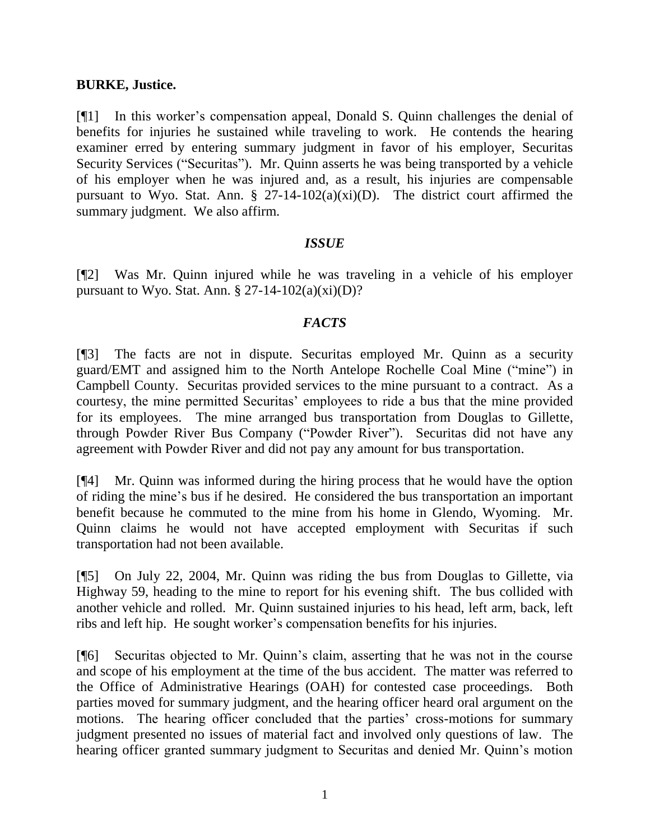#### **BURKE, Justice.**

[¶1] In this worker"s compensation appeal, Donald S. Quinn challenges the denial of benefits for injuries he sustained while traveling to work. He contends the hearing examiner erred by entering summary judgment in favor of his employer, Securitas Security Services ("Securitas"). Mr. Quinn asserts he was being transported by a vehicle of his employer when he was injured and, as a result, his injuries are compensable pursuant to Wyo. Stat. Ann.  $\S$  27-14-102(a)(xi)(D). The district court affirmed the summary judgment. We also affirm.

## *ISSUE*

[¶2] Was Mr. Quinn injured while he was traveling in a vehicle of his employer pursuant to Wyo. Stat. Ann.  $\S 27-14-102(a)(xi)(D)?$ 

## *FACTS*

[¶3] The facts are not in dispute. Securitas employed Mr. Quinn as a security guard/EMT and assigned him to the North Antelope Rochelle Coal Mine ("mine") in Campbell County. Securitas provided services to the mine pursuant to a contract. As a courtesy, the mine permitted Securitas" employees to ride a bus that the mine provided for its employees. The mine arranged bus transportation from Douglas to Gillette, through Powder River Bus Company ("Powder River"). Securitas did not have any agreement with Powder River and did not pay any amount for bus transportation.

[¶4] Mr. Quinn was informed during the hiring process that he would have the option of riding the mine"s bus if he desired. He considered the bus transportation an important benefit because he commuted to the mine from his home in Glendo, Wyoming. Mr. Quinn claims he would not have accepted employment with Securitas if such transportation had not been available.

[¶5] On July 22, 2004, Mr. Quinn was riding the bus from Douglas to Gillette, via Highway 59, heading to the mine to report for his evening shift. The bus collided with another vehicle and rolled. Mr. Quinn sustained injuries to his head, left arm, back, left ribs and left hip. He sought worker's compensation benefits for his injuries.

[¶6] Securitas objected to Mr. Quinn"s claim, asserting that he was not in the course and scope of his employment at the time of the bus accident. The matter was referred to the Office of Administrative Hearings (OAH) for contested case proceedings. Both parties moved for summary judgment, and the hearing officer heard oral argument on the motions. The hearing officer concluded that the parties' cross-motions for summary judgment presented no issues of material fact and involved only questions of law. The hearing officer granted summary judgment to Securitas and denied Mr. Quinn's motion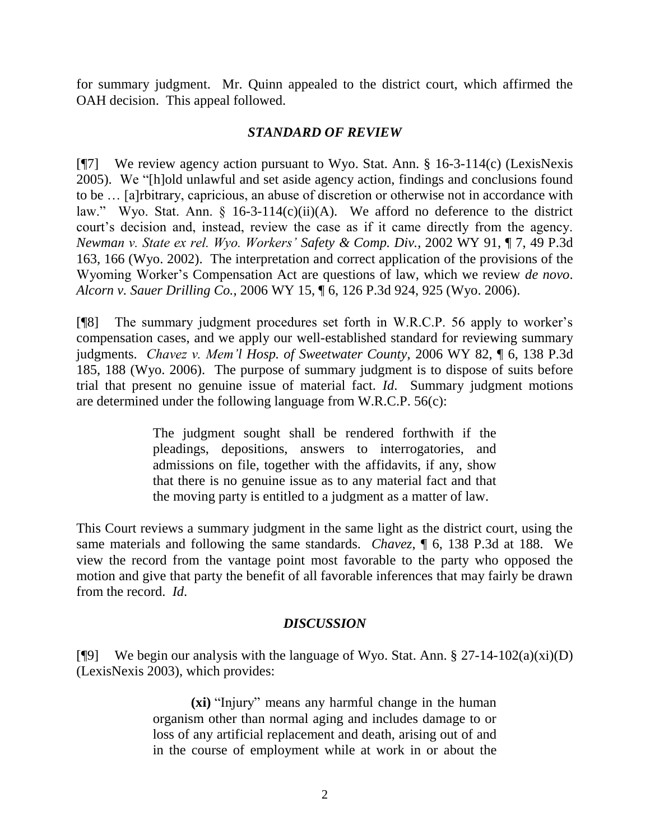for summary judgment. Mr. Quinn appealed to the district court, which affirmed the OAH decision. This appeal followed.

## *STANDARD OF REVIEW*

[¶7] We review agency action pursuant to Wyo. Stat. Ann. § 16-3-114(c) (LexisNexis 2005). We "[h]old unlawful and set aside agency action, findings and conclusions found to be … [a]rbitrary, capricious, an abuse of discretion or otherwise not in accordance with law." Wyo. Stat. Ann. § 16-3-114(c)(ii)(A). We afford no deference to the district court's decision and, instead, review the case as if it came directly from the agency. *Newman v. State ex rel. Wyo. Workers' Safety & Comp. Div.*, 2002 WY 91, ¶ 7, 49 P.3d 163, 166 (Wyo. 2002). The interpretation and correct application of the provisions of the Wyoming Worker"s Compensation Act are questions of law, which we review *de novo*. *Alcorn v. Sauer Drilling Co.,* 2006 WY 15, ¶ 6, 126 P.3d 924, 925 (Wyo. 2006).

[¶8] The summary judgment procedures set forth in W.R.C.P. 56 apply to worker"s compensation cases, and we apply our well-established standard for reviewing summary judgments. *Chavez v. Mem'l Hosp. of Sweetwater County*, 2006 WY 82, ¶ 6, 138 P.3d 185, 188 (Wyo. 2006). The purpose of summary judgment is to dispose of suits before trial that present no genuine issue of material fact. *Id*. Summary judgment motions are determined under the following language from W.R.C.P. 56(c):

> The judgment sought shall be rendered forthwith if the pleadings, depositions, answers to interrogatories, and admissions on file, together with the affidavits, if any, show that there is no genuine issue as to any material fact and that the moving party is entitled to a judgment as a matter of law.

This Court reviews a summary judgment in the same light as the district court, using the same materials and following the same standards. *Chavez*, ¶ 6, 138 P.3d at 188. We view the record from the vantage point most favorable to the party who opposed the motion and give that party the benefit of all favorable inferences that may fairly be drawn from the record. *Id*.

## *DISCUSSION*

[ $[$ [9] We begin our analysis with the language of Wyo. Stat. Ann. § 27-14-102(a)(xi)(D) (LexisNexis 2003), which provides:

> **(xi)** "Injury" means any harmful change in the human organism other than normal aging and includes damage to or loss of any artificial replacement and death, arising out of and in the course of employment while at work in or about the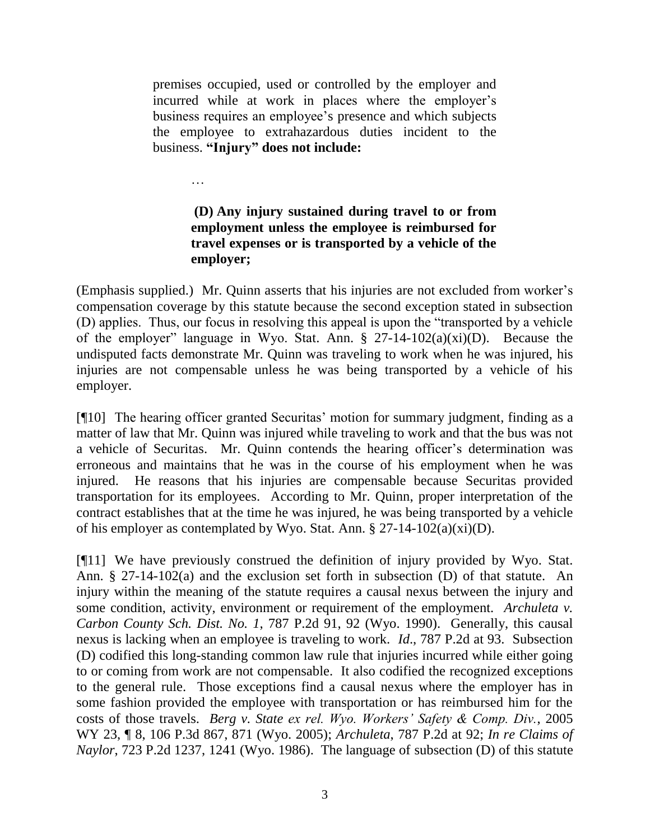premises occupied, used or controlled by the employer and incurred while at work in places where the employer's business requires an employee's presence and which subjects the employee to extrahazardous duties incident to the business. **"Injury" does not include:**

…

# **(D) Any injury sustained during travel to or from employment unless the employee is reimbursed for travel expenses or is transported by a vehicle of the employer;**

(Emphasis supplied.) Mr. Quinn asserts that his injuries are not excluded from worker"s compensation coverage by this statute because the second exception stated in subsection (D) applies. Thus, our focus in resolving this appeal is upon the "transported by a vehicle of the employer" language in Wyo. Stat. Ann. § 27-14-102(a)(xi)(D). Because the undisputed facts demonstrate Mr. Quinn was traveling to work when he was injured, his injuries are not compensable unless he was being transported by a vehicle of his employer.

[¶10] The hearing officer granted Securitas' motion for summary judgment, finding as a matter of law that Mr. Quinn was injured while traveling to work and that the bus was not a vehicle of Securitas. Mr. Quinn contends the hearing officer"s determination was erroneous and maintains that he was in the course of his employment when he was injured. He reasons that his injuries are compensable because Securitas provided transportation for its employees. According to Mr. Quinn, proper interpretation of the contract establishes that at the time he was injured, he was being transported by a vehicle of his employer as contemplated by Wyo. Stat. Ann.  $\S 27-14-102(a)(xi)(D)$ .

[¶11] We have previously construed the definition of injury provided by Wyo. Stat. Ann. § 27-14-102(a) and the exclusion set forth in subsection (D) of that statute. An injury within the meaning of the statute requires a causal nexus between the injury and some condition, activity, environment or requirement of the employment. *Archuleta v. Carbon County Sch. Dist. No. 1*, 787 P.2d 91, 92 (Wyo. 1990). Generally, this causal nexus is lacking when an employee is traveling to work. *Id*., 787 P.2d at 93. Subsection (D) codified this long-standing common law rule that injuries incurred while either going to or coming from work are not compensable. It also codified the recognized exceptions to the general rule. Those exceptions find a causal nexus where the employer has in some fashion provided the employee with transportation or has reimbursed him for the costs of those travels. *Berg v. State ex rel. Wyo. Workers' Safety & Comp. Div.*, 2005 WY 23, ¶ 8, 106 P.3d 867, 871 (Wyo. 2005); *Archuleta*, 787 P.2d at 92; *In re Claims of Naylor*, 723 P.2d 1237, 1241 (Wyo. 1986). The language of subsection (D) of this statute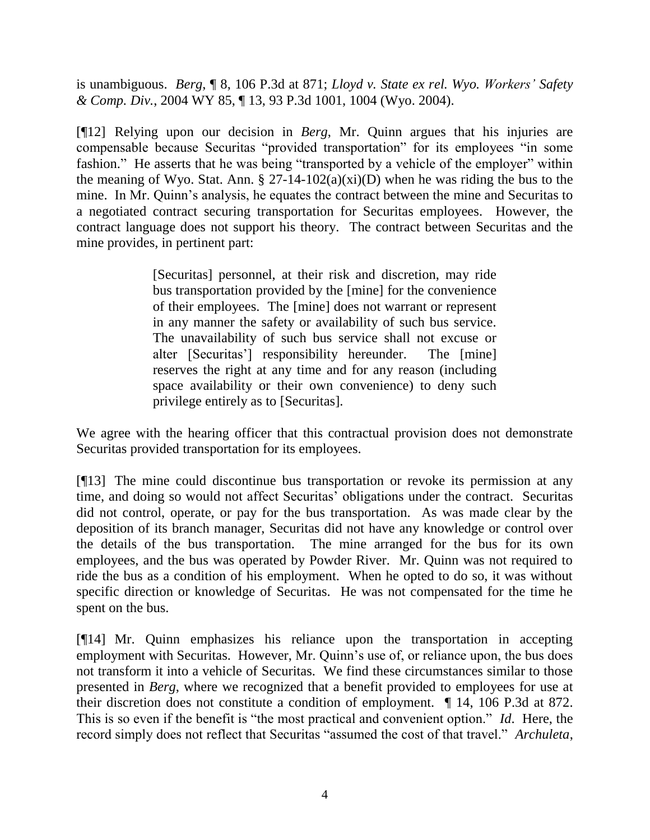is unambiguous. *Berg*, ¶ 8, 106 P.3d at 871; *Lloyd v. State ex rel. Wyo. Workers' Safety & Comp. Div.*, 2004 WY 85, ¶ 13, 93 P.3d 1001, 1004 (Wyo. 2004).

[¶12] Relying upon our decision in *Berg*, Mr. Quinn argues that his injuries are compensable because Securitas "provided transportation" for its employees "in some fashion." He asserts that he was being "transported by a vehicle of the employer" within the meaning of Wyo. Stat. Ann.  $\S 27-14-102(a)(xi)(D)$  when he was riding the bus to the mine. In Mr. Quinn's analysis, he equates the contract between the mine and Securitas to a negotiated contract securing transportation for Securitas employees. However, the contract language does not support his theory. The contract between Securitas and the mine provides, in pertinent part:

> [Securitas] personnel, at their risk and discretion, may ride bus transportation provided by the [mine] for the convenience of their employees. The [mine] does not warrant or represent in any manner the safety or availability of such bus service. The unavailability of such bus service shall not excuse or alter [Securitas"] responsibility hereunder. The [mine] reserves the right at any time and for any reason (including space availability or their own convenience) to deny such privilege entirely as to [Securitas].

We agree with the hearing officer that this contractual provision does not demonstrate Securitas provided transportation for its employees.

[¶13] The mine could discontinue bus transportation or revoke its permission at any time, and doing so would not affect Securitas' obligations under the contract. Securitas did not control, operate, or pay for the bus transportation. As was made clear by the deposition of its branch manager, Securitas did not have any knowledge or control over the details of the bus transportation. The mine arranged for the bus for its own employees, and the bus was operated by Powder River. Mr. Quinn was not required to ride the bus as a condition of his employment. When he opted to do so, it was without specific direction or knowledge of Securitas. He was not compensated for the time he spent on the bus.

[¶14] Mr. Quinn emphasizes his reliance upon the transportation in accepting employment with Securitas. However, Mr. Quinn"s use of, or reliance upon, the bus does not transform it into a vehicle of Securitas. We find these circumstances similar to those presented in *Berg*, where we recognized that a benefit provided to employees for use at their discretion does not constitute a condition of employment. ¶ 14, 106 P.3d at 872. This is so even if the benefit is "the most practical and convenient option." *Id*. Here, the record simply does not reflect that Securitas "assumed the cost of that travel." *Archuleta*,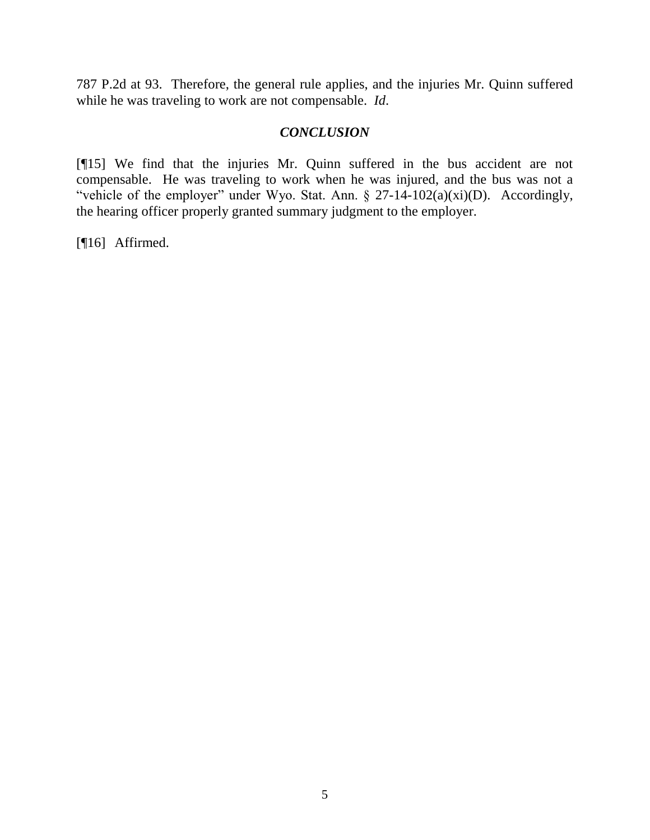787 P.2d at 93. Therefore, the general rule applies, and the injuries Mr. Quinn suffered while he was traveling to work are not compensable. *Id*.

#### *CONCLUSION*

[¶15] We find that the injuries Mr. Quinn suffered in the bus accident are not compensable. He was traveling to work when he was injured, and the bus was not a "vehicle of the employer" under Wyo. Stat. Ann. § 27-14-102(a)(xi)(D). Accordingly, the hearing officer properly granted summary judgment to the employer.

[¶16] Affirmed.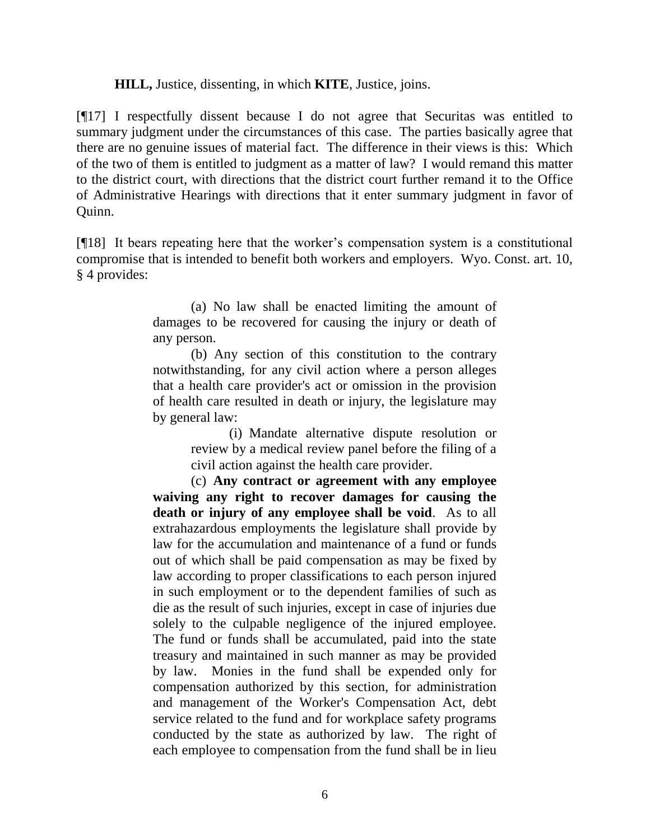#### **HILL,** Justice, dissenting, in which **KITE**, Justice, joins.

[¶17] I respectfully dissent because I do not agree that Securitas was entitled to summary judgment under the circumstances of this case. The parties basically agree that there are no genuine issues of material fact. The difference in their views is this: Which of the two of them is entitled to judgment as a matter of law? I would remand this matter to the district court, with directions that the district court further remand it to the Office of Administrative Hearings with directions that it enter summary judgment in favor of Quinn.

[¶18] It bears repeating here that the worker"s compensation system is a constitutional compromise that is intended to benefit both workers and employers. Wyo. Const. art. 10, § 4 provides:

> (a) No law shall be enacted limiting the amount of damages to be recovered for causing the injury or death of any person.

> (b) Any section of this constitution to the contrary notwithstanding, for any civil action where a person alleges that a health care provider's act or omission in the provision of health care resulted in death or injury, the legislature may by general law:

> > (i) Mandate alternative dispute resolution or review by a medical review panel before the filing of a civil action against the health care provider.

(c) **Any contract or agreement with any employee waiving any right to recover damages for causing the death or injury of any employee shall be void**. As to all extrahazardous employments the legislature shall provide by law for the accumulation and maintenance of a fund or funds out of which shall be paid compensation as may be fixed by law according to proper classifications to each person injured in such employment or to the dependent families of such as die as the result of such injuries, except in case of injuries due solely to the culpable negligence of the injured employee. The fund or funds shall be accumulated, paid into the state treasury and maintained in such manner as may be provided by law. Monies in the fund shall be expended only for compensation authorized by this section, for administration and management of the Worker's Compensation Act, debt service related to the fund and for workplace safety programs conducted by the state as authorized by law. The right of each employee to compensation from the fund shall be in lieu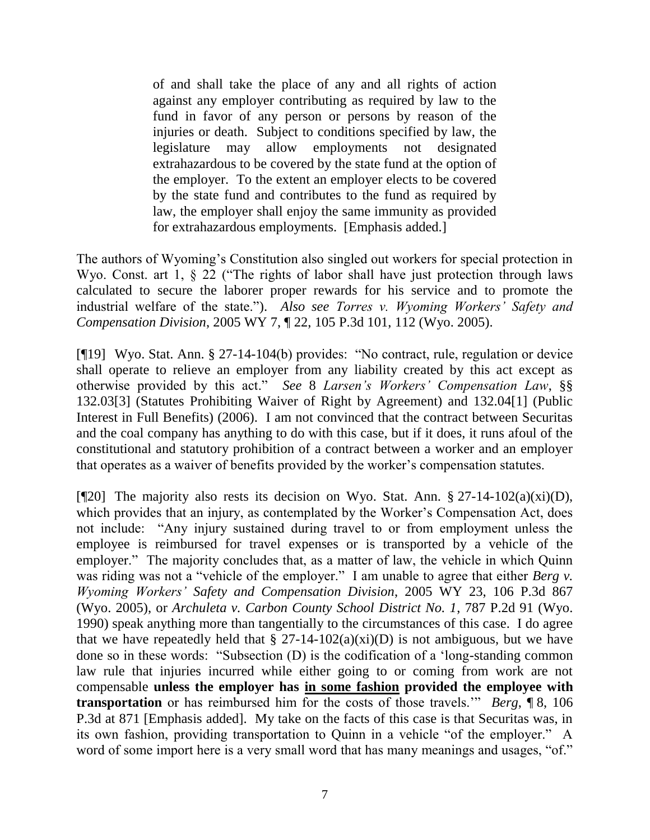of and shall take the place of any and all rights of action against any employer contributing as required by law to the fund in favor of any person or persons by reason of the injuries or death. Subject to conditions specified by law, the legislature may allow employments not designated extrahazardous to be covered by the state fund at the option of the employer. To the extent an employer elects to be covered by the state fund and contributes to the fund as required by law, the employer shall enjoy the same immunity as provided for extrahazardous employments. [Emphasis added.]

The authors of Wyoming's Constitution also singled out workers for special protection in Wyo. Const. art 1, § 22 ("The rights of labor shall have just protection through laws calculated to secure the laborer proper rewards for his service and to promote the industrial welfare of the state."). *Also see Torres v. Wyoming Workers' Safety and Compensation Division*, 2005 WY 7, ¶ 22, 105 P.3d 101, 112 (Wyo. 2005).

[¶19] Wyo. Stat. Ann. § 27-14-104(b) provides: "No contract, rule, regulation or device shall operate to relieve an employer from any liability created by this act except as otherwise provided by this act." *See* 8 *Larsen's Workers' Compensation Law*, §§ 132.03[3] (Statutes Prohibiting Waiver of Right by Agreement) and 132.04[1] (Public Interest in Full Benefits) (2006). I am not convinced that the contract between Securitas and the coal company has anything to do with this case, but if it does, it runs afoul of the constitutional and statutory prohibition of a contract between a worker and an employer that operates as a waiver of benefits provided by the worker"s compensation statutes.

[ $[$ [20] The majority also rests its decision on Wyo. Stat. Ann. § 27-14-102(a)(xi)(D), which provides that an injury, as contemplated by the Worker's Compensation Act, does not include: "Any injury sustained during travel to or from employment unless the employee is reimbursed for travel expenses or is transported by a vehicle of the employer." The majority concludes that, as a matter of law, the vehicle in which Quinn was riding was not a "vehicle of the employer." I am unable to agree that either *Berg v. Wyoming Workers' Safety and Compensation Division*, 2005 WY 23, 106 P.3d 867 (Wyo. 2005), or *Archuleta v. Carbon County School District No. 1*, 787 P.2d 91 (Wyo. 1990) speak anything more than tangentially to the circumstances of this case. I do agree that we have repeatedly held that  $\S 27-14-102(a)(xi)(D)$  is not ambiguous, but we have done so in these words: "Subsection (D) is the codification of a "long-standing common law rule that injuries incurred while either going to or coming from work are not compensable **unless the employer has in some fashion provided the employee with transportation** or has reimbursed him for the costs of those travels."" *Berg*, ¶ 8, 106 P.3d at 871 [Emphasis added]. My take on the facts of this case is that Securitas was, in its own fashion, providing transportation to Quinn in a vehicle "of the employer." A word of some import here is a very small word that has many meanings and usages, "of."